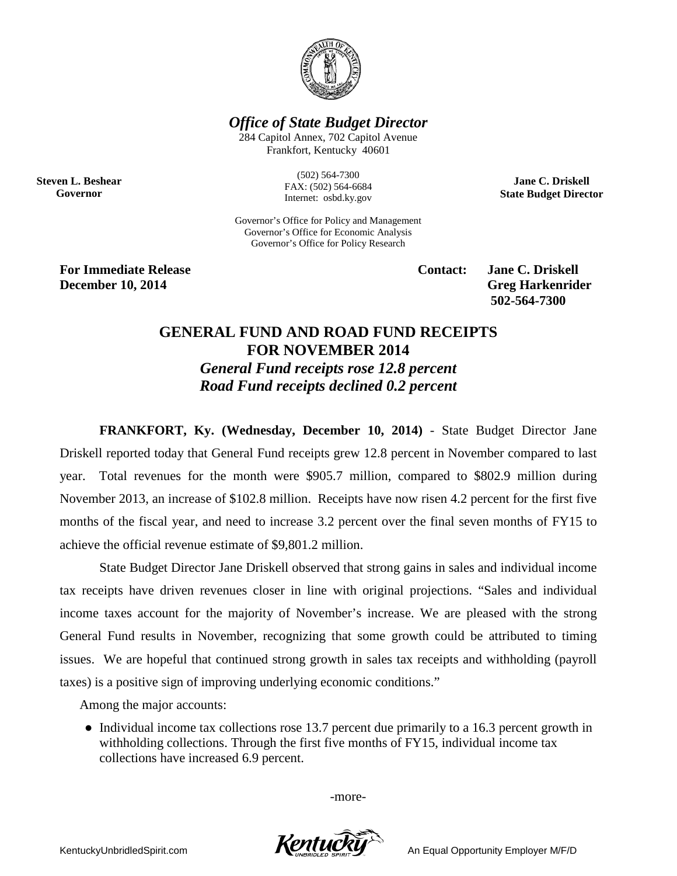

*Office of State Budget Director*

284 Capitol Annex, 702 Capitol Avenue Frankfort, Kentucky 40601

**Steven L. Beshear Governor**

(502) 564-7300 FAX: (502) 564-6684 Internet: osbd.ky.gov

Governor's Office for Policy and Management Governor's Office for Economic Analysis Governor's Office for Policy Research

**For Immediate Release Contact: Jane C. Driskell December 10, 2014** Greg Harkenrider

**502-564-7300** 

**Jane C. Driskell State Budget Director**

## **GENERAL FUND AND ROAD FUND RECEIPTS FOR NOVEMBER 2014**

*General Fund receipts rose 12.8 percent Road Fund receipts declined 0.2 percent*

**FRANKFORT, Ky. (Wednesday, December 10, 2014)** - State Budget Director Jane Driskell reported today that General Fund receipts grew 12.8 percent in November compared to last year. Total revenues for the month were \$905.7 million, compared to \$802.9 million during November 2013, an increase of \$102.8 million. Receipts have now risen 4.2 percent for the first five months of the fiscal year, and need to increase 3.2 percent over the final seven months of FY15 to achieve the official revenue estimate of \$9,801.2 million.

State Budget Director Jane Driskell observed that strong gains in sales and individual income tax receipts have driven revenues closer in line with original projections. "Sales and individual income taxes account for the majority of November's increase. We are pleased with the strong General Fund results in November, recognizing that some growth could be attributed to timing issues. We are hopeful that continued strong growth in sales tax receipts and withholding (payroll taxes) is a positive sign of improving underlying economic conditions."

Among the major accounts:

• Individual income tax collections rose 13.7 percent due primarily to a 16.3 percent growth in withholding collections. Through the first five months of FY15, individual income tax collections have increased 6.9 percent.

-more-

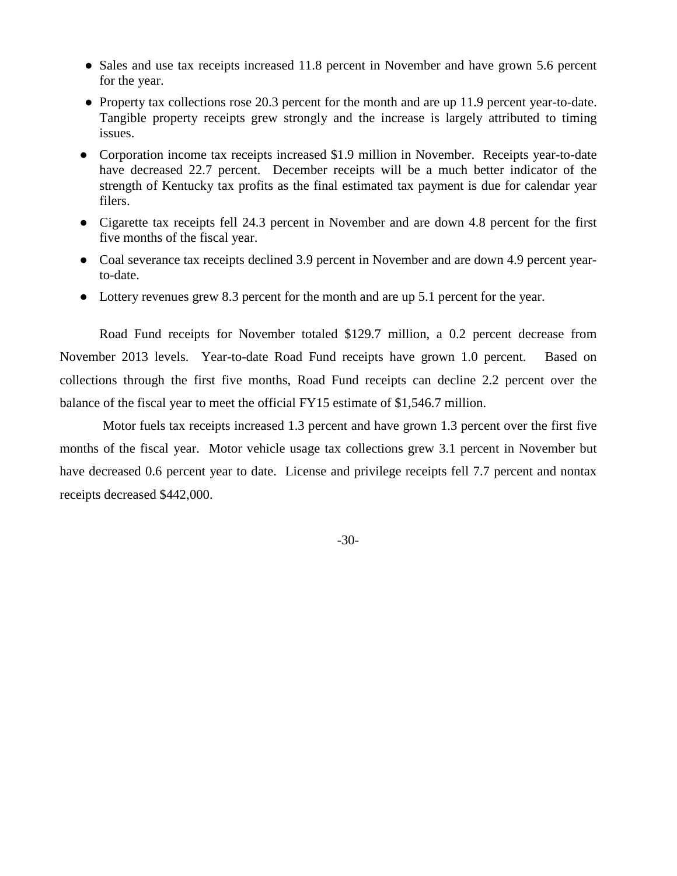- Sales and use tax receipts increased 11.8 percent in November and have grown 5.6 percent for the year.
- Property tax collections rose 20.3 percent for the month and are up 11.9 percent year-to-date. Tangible property receipts grew strongly and the increase is largely attributed to timing issues.
- Corporation income tax receipts increased \$1.9 million in November. Receipts year-to-date have decreased 22.7 percent. December receipts will be a much better indicator of the strength of Kentucky tax profits as the final estimated tax payment is due for calendar year filers.
- Cigarette tax receipts fell 24.3 percent in November and are down 4.8 percent for the first five months of the fiscal year.
- Coal severance tax receipts declined 3.9 percent in November and are down 4.9 percent yearto-date.
- Lottery revenues grew 8.3 percent for the month and are up 5.1 percent for the year.

Road Fund receipts for November totaled \$129.7 million, a 0.2 percent decrease from November 2013 levels. Year-to-date Road Fund receipts have grown 1.0 percent. Based on collections through the first five months, Road Fund receipts can decline 2.2 percent over the balance of the fiscal year to meet the official FY15 estimate of \$1,546.7 million.

Motor fuels tax receipts increased 1.3 percent and have grown 1.3 percent over the first five months of the fiscal year. Motor vehicle usage tax collections grew 3.1 percent in November but have decreased 0.6 percent year to date. License and privilege receipts fell 7.7 percent and nontax receipts decreased \$442,000.

-30-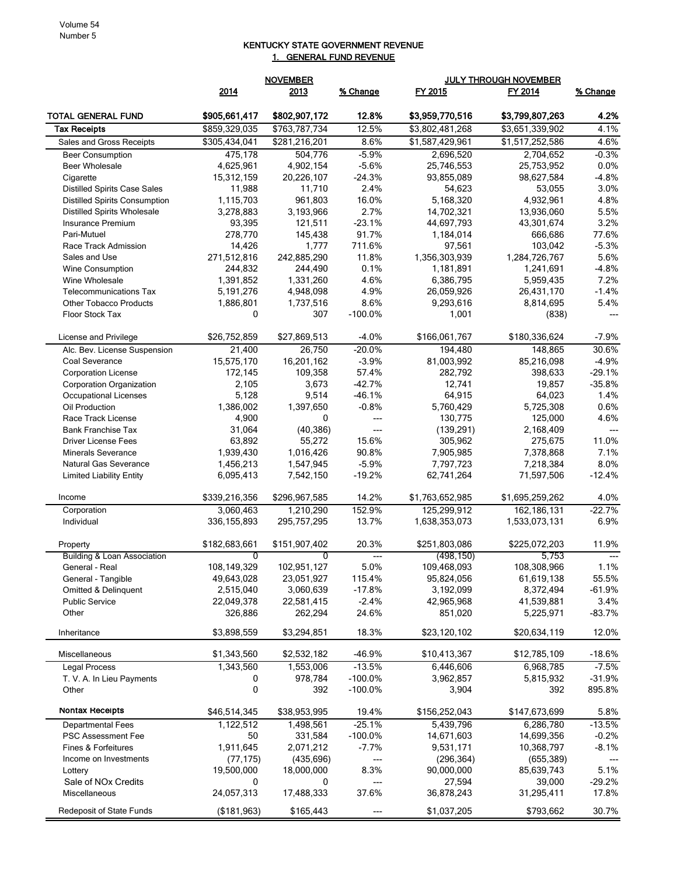## KENTUCKY STATE GOVERNMENT REVENUE 1. GENERAL FUND REVENUE

|                                                 |                        | <b>NOVEMBER</b><br><b>JULY THROUGH NOVEMBER</b> |                     |                          |                          |                  |
|-------------------------------------------------|------------------------|-------------------------------------------------|---------------------|--------------------------|--------------------------|------------------|
|                                                 | 2014                   | 2013                                            | % Change            | FY 2015                  | FY 2014                  | % Change         |
| TOTAL GENERAL FUND                              | \$905,661,417          | \$802,907,172                                   | 12.8%               | \$3,959,770,516          | \$3,799,807,263          | 4.2%             |
| <b>Tax Receipts</b>                             | \$859,329,035          | \$763,787,734                                   | 12.5%               | \$3,802,481,268          | \$3,651,339,902          | 4.1%             |
| Sales and Gross Receipts                        | \$305,434,041          | \$281,216,201                                   | 8.6%                | \$1,587,429,961          | \$1,517,252,586          | 4.6%             |
| <b>Beer Consumption</b>                         | 475.178                | 504,776                                         | $-5.9%$             | 2,696,520                | 2,704,652                | $-0.3%$          |
| <b>Beer Wholesale</b>                           | 4,625,961              | 4,902,154                                       | $-5.6%$             | 25,746,553               | 25,753,952               | 0.0%             |
| Cigarette                                       | 15,312,159             | 20,226,107                                      | $-24.3%$            | 93,855,089               | 98,627,584               | $-4.8%$          |
| <b>Distilled Spirits Case Sales</b>             | 11,988                 | 11,710                                          | 2.4%                | 54,623                   | 53,055                   | 3.0%             |
| <b>Distilled Spirits Consumption</b>            | 1,115,703              | 961,803                                         | 16.0%               | 5,168,320                | 4,932,961                | 4.8%             |
| <b>Distilled Spirits Wholesale</b>              | 3,278,883              | 3,193,966                                       | 2.7%                | 14,702,321               | 13,936,060               | 5.5%             |
| <b>Insurance Premium</b>                        | 93,395                 | 121,511                                         | $-23.1%$            | 44,697,793               | 43,301,674               | 3.2%             |
| Pari-Mutuel                                     | 278,770                | 145,438                                         | 91.7%               | 1,184,014                | 666,686                  | 77.6%            |
| Race Track Admission                            | 14,426                 | 1,777                                           | 711.6%              | 97,561                   | 103,042                  | $-5.3%$          |
| Sales and Use                                   | 271,512,816            | 242,885,290                                     | 11.8%               | 1,356,303,939            | 1,284,726,767            | 5.6%             |
| Wine Consumption                                | 244,832                | 244,490                                         | 0.1%<br>4.6%        | 1,181,891                | 1,241,691                | $-4.8%$          |
| Wine Wholesale<br><b>Telecommunications Tax</b> | 1,391,852<br>5,191,276 | 1,331,260<br>4,948,098                          | 4.9%                | 6,386,795<br>26,059,926  | 5,959,435<br>26,431,170  | 7.2%<br>$-1.4%$  |
| <b>Other Tobacco Products</b>                   | 1,886,801              | 1,737,516                                       | 8.6%                | 9,293,616                | 8,814,695                | 5.4%             |
| <b>Floor Stock Tax</b>                          | 0                      | 307                                             | $-100.0%$           | 1,001                    | (838)                    |                  |
|                                                 |                        |                                                 |                     |                          |                          |                  |
| License and Privilege                           | \$26,752,859<br>21,400 | \$27,869,513<br>26,750                          | $-4.0%$<br>$-20.0%$ | \$166,061,767<br>194,480 | \$180,336,624<br>148,865 | $-7.9%$<br>30.6% |
| Alc. Bev. License Suspension<br>Coal Severance  | 15,575,170             |                                                 | $-3.9%$             |                          | 85,216,098               | $-4.9%$          |
| <b>Corporation License</b>                      | 172,145                | 16,201,162<br>109,358                           | 57.4%               | 81,003,992<br>282,792    | 398,633                  | $-29.1%$         |
| Corporation Organization                        | 2,105                  | 3,673                                           | $-42.7%$            | 12,741                   | 19,857                   | $-35.8%$         |
| <b>Occupational Licenses</b>                    | 5,128                  | 9,514                                           | $-46.1%$            | 64,915                   | 64,023                   | 1.4%             |
| Oil Production                                  | 1,386,002              | 1,397,650                                       | $-0.8%$             | 5,760,429                | 5,725,308                | 0.6%             |
| Race Track License                              | 4,900                  | 0                                               | $---$               | 130,775                  | 125,000                  | 4.6%             |
| <b>Bank Franchise Tax</b>                       | 31,064                 | (40, 386)                                       | $---$               | (139, 291)               | 2,168,409                | $\overline{a}$   |
| <b>Driver License Fees</b>                      | 63,892                 | 55,272                                          | 15.6%               | 305,962                  | 275,675                  | 11.0%            |
| <b>Minerals Severance</b>                       | 1,939,430              | 1,016,426                                       | 90.8%               | 7,905,985                | 7,378,868                | 7.1%             |
| Natural Gas Severance                           | 1,456,213              | 1,547,945                                       | $-5.9%$             | 7,797,723                | 7,218,384                | 8.0%             |
| <b>Limited Liability Entity</b>                 | 6,095,413              | 7,542,150                                       | $-19.2%$            | 62,741,264               | 71,597,506               | -12.4%           |
| Income                                          | \$339,216,356          | \$296,967,585                                   | 14.2%               | \$1,763,652,985          | \$1,695,259,262          | 4.0%             |
| Corporation                                     | 3,060,463              | 1,210,290                                       | 152.9%              | 125,299,912              | 162, 186, 131            | $-22.7%$         |
| Individual                                      | 336, 155, 893          | 295,757,295                                     | 13.7%               | 1,638,353,073            | 1,533,073,131            | 6.9%             |
| Property                                        | \$182,683,661          | \$151,907,402                                   | 20.3%               | \$251,803,086            | \$225,072,203            | 11.9%            |
| Building & Loan Association                     | $\overline{0}$         | $\overline{0}$                                  | $---$               | (498, 150)               | 5,753                    | $---$            |
| General - Real                                  | 108,149,329            | 102,951,127                                     | 5.0%                | 109,468,093              | 108,308,966              | 1.1%             |
| General - Tangible                              | 49,643,028             | 23,051,927                                      | 115.4%              | 95,824,056               | 61,619,138               | 55.5%            |
| Omitted & Delinquent                            | 2,515,040              | 3,060,639                                       | $-17.8%$            | 3,192,099                | 8,372,494                | $-61.9%$         |
| <b>Public Service</b>                           | 22,049,378             | 22,581,415                                      | $-2.4%$             | 42,965,968               | 41,539,881               | 3.4%             |
| Other                                           | 326,886                | 262,294                                         | 24.6%               | 851,020                  | 5,225,971                | $-83.7%$         |
| Inheritance                                     | \$3,898,559            | \$3,294,851                                     | 18.3%               | \$23,120,102             | \$20,634,119             | 12.0%            |
| Miscellaneous                                   | \$1,343,560            | \$2,532,182                                     | -46.9%              | \$10,413,367             | \$12,785,109             | $-18.6%$         |
| <b>Legal Process</b>                            | 1,343,560              | 1,553,006                                       | $-13.5%$            | 6,446,606                | 6,968,785                | $-7.5%$          |
| T. V. A. In Lieu Payments                       | 0                      | 978,784                                         | $-100.0%$           | 3,962,857                | 5,815,932                | $-31.9%$         |
| Other                                           | 0                      | 392                                             | $-100.0%$           | 3,904                    | 392                      | 895.8%           |
| Nontax Receipts                                 | \$46,514,345           | \$38,953,995                                    | 19.4%               | \$156,252,043            | \$147,673,699            | 5.8%             |
| <b>Departmental Fees</b>                        | 1,122,512              | 1,498,561                                       | $-25.1%$            | 5,439,796                | 6,286,780                | $-13.5%$         |
| PSC Assessment Fee                              | 50                     | 331,584                                         | $-100.0%$           | 14,671,603               | 14,699,356               | $-0.2%$          |
| Fines & Forfeitures                             | 1,911,645              | 2,071,212                                       | $-7.7%$             | 9,531,171                | 10,368,797               | $-8.1%$          |
| Income on Investments                           | (77, 175)              | (435, 696)                                      | ---                 | (296, 364)               | (655, 389)               |                  |
| Lottery                                         | 19,500,000             | 18,000,000                                      | 8.3%                | 90,000,000               | 85,639,743               | 5.1%             |
| Sale of NO <sub>x</sub> Credits                 | 0                      | 0                                               |                     | 27,594                   | 39,000                   | $-29.2%$         |
| Miscellaneous                                   | 24,057,313             | 17,488,333                                      | 37.6%               | 36,878,243               | 31,295,411               | 17.8%            |
| Redeposit of State Funds                        | (\$181,963)            | \$165,443                                       |                     | \$1,037,205              | \$793,662                | 30.7%            |